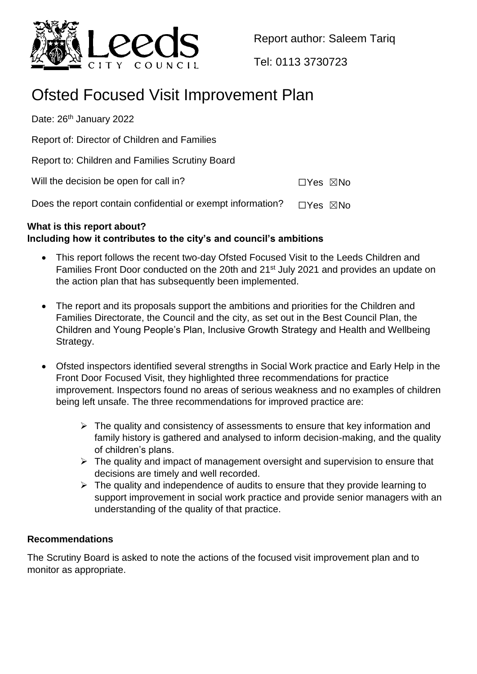

Report author: Saleem Tariq

Tel: 0113 3730723

# Ofsted Focused Visit Improvement Plan

Date: 26<sup>th</sup> January 2022

Report of: Director of Children and Families

Report to: Children and Families Scrutiny Board

Will the decision be open for call in? ☐Yes ☒No

Does the report contain confidential or exempt information?  $□Yes \triangle$ No

# **What is this report about? Including how it contributes to the city's and council's ambitions**

- This report follows the recent two-day Ofsted Focused Visit to the Leeds Children and Families Front Door conducted on the 20th and 21<sup>st</sup> July 2021 and provides an update on the action plan that has subsequently been implemented.
- The report and its proposals support the ambitions and priorities for the Children and Families Directorate, the Council and the city, as set out in the Best Council Plan, the Children and Young People's Plan, Inclusive Growth Strategy and Health and Wellbeing Strategy.
- Ofsted inspectors identified several strengths in Social Work practice and Early Help in the Front Door Focused Visit, they highlighted three recommendations for practice improvement. Inspectors found no areas of serious weakness and no examples of children being left unsafe. The three recommendations for improved practice are:
	- $\triangleright$  The quality and consistency of assessments to ensure that key information and family history is gathered and analysed to inform decision-making, and the quality of children's plans.
	- $\triangleright$  The quality and impact of management oversight and supervision to ensure that decisions are timely and well recorded.
	- $\triangleright$  The quality and independence of audits to ensure that they provide learning to support improvement in social work practice and provide senior managers with an understanding of the quality of that practice.

# **Recommendations**

The Scrutiny Board is asked to note the actions of the focused visit improvement plan and to monitor as appropriate.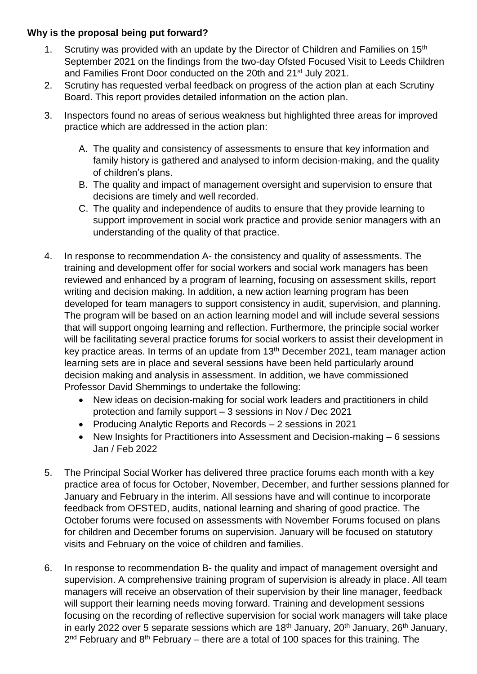# **Why is the proposal being put forward?**

- 1. Scrutiny was provided with an update by the Director of Children and Families on 15<sup>th</sup> September 2021 on the findings from the two-day Ofsted Focused Visit to Leeds Children and Families Front Door conducted on the 20th and 21st July 2021.
- 2. Scrutiny has requested verbal feedback on progress of the action plan at each Scrutiny Board. This report provides detailed information on the action plan.
- 3. Inspectors found no areas of serious weakness but highlighted three areas for improved practice which are addressed in the action plan:
	- A. The quality and consistency of assessments to ensure that key information and family history is gathered and analysed to inform decision-making, and the quality of children's plans.
	- B. The quality and impact of management oversight and supervision to ensure that decisions are timely and well recorded.
	- C. The quality and independence of audits to ensure that they provide learning to support improvement in social work practice and provide senior managers with an understanding of the quality of that practice.
- 4. In response to recommendation A- the consistency and quality of assessments. The training and development offer for social workers and social work managers has been reviewed and enhanced by a program of learning, focusing on assessment skills, report writing and decision making. In addition, a new action learning program has been developed for team managers to support consistency in audit, supervision, and planning. The program will be based on an action learning model and will include several sessions that will support ongoing learning and reflection. Furthermore, the principle social worker will be facilitating several practice forums for social workers to assist their development in key practice areas. In terms of an update from 13<sup>th</sup> December 2021, team manager action learning sets are in place and several sessions have been held particularly around decision making and analysis in assessment. In addition, we have commissioned Professor David Shemmings to undertake the following:
	- New ideas on decision-making for social work leaders and practitioners in child protection and family support – 3 sessions in Nov / Dec 2021
	- Producing Analytic Reports and Records 2 sessions in 2021
	- New Insights for Practitioners into Assessment and Decision-making 6 sessions Jan / Feb 2022
- 5. The Principal Social Worker has delivered three practice forums each month with a key practice area of focus for October, November, December, and further sessions planned for January and February in the interim. All sessions have and will continue to incorporate feedback from OFSTED, audits, national learning and sharing of good practice. The October forums were focused on assessments with November Forums focused on plans for children and December forums on supervision. January will be focused on statutory visits and February on the voice of children and families.
- 6. In response to recommendation B- the quality and impact of management oversight and supervision. A comprehensive training program of supervision is already in place. All team managers will receive an observation of their supervision by their line manager, feedback will support their learning needs moving forward. Training and development sessions focusing on the recording of reflective supervision for social work managers will take place in early 2022 over 5 separate sessions which are  $18<sup>th</sup>$  January,  $20<sup>th</sup>$  January,  $26<sup>th</sup>$  January,  $2<sup>nd</sup>$  February and 8<sup>th</sup> February – there are a total of 100 spaces for this training. The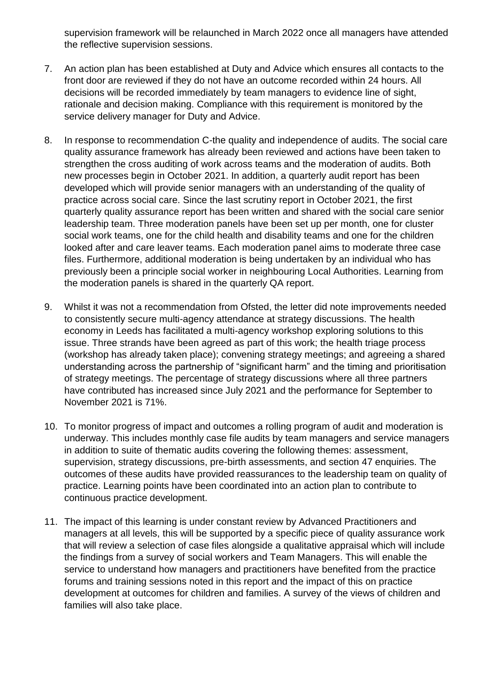supervision framework will be relaunched in March 2022 once all managers have attended the reflective supervision sessions.

- 7. An action plan has been established at Duty and Advice which ensures all contacts to the front door are reviewed if they do not have an outcome recorded within 24 hours. All decisions will be recorded immediately by team managers to evidence line of sight, rationale and decision making. Compliance with this requirement is monitored by the service delivery manager for Duty and Advice.
- 8. In response to recommendation C-the quality and independence of audits. The social care quality assurance framework has already been reviewed and actions have been taken to strengthen the cross auditing of work across teams and the moderation of audits. Both new processes begin in October 2021. In addition, a quarterly audit report has been developed which will provide senior managers with an understanding of the quality of practice across social care. Since the last scrutiny report in October 2021, the first quarterly quality assurance report has been written and shared with the social care senior leadership team. Three moderation panels have been set up per month, one for cluster social work teams, one for the child health and disability teams and one for the children looked after and care leaver teams. Each moderation panel aims to moderate three case files. Furthermore, additional moderation is being undertaken by an individual who has previously been a principle social worker in neighbouring Local Authorities. Learning from the moderation panels is shared in the quarterly QA report.
- 9. Whilst it was not a recommendation from Ofsted, the letter did note improvements needed to consistently secure multi-agency attendance at strategy discussions. The health economy in Leeds has facilitated a multi-agency workshop exploring solutions to this issue. Three strands have been agreed as part of this work; the health triage process (workshop has already taken place); convening strategy meetings; and agreeing a shared understanding across the partnership of "significant harm" and the timing and prioritisation of strategy meetings. The percentage of strategy discussions where all three partners have contributed has increased since July 2021 and the performance for September to November 2021 is 71%.
- 10. To monitor progress of impact and outcomes a rolling program of audit and moderation is underway. This includes monthly case file audits by team managers and service managers in addition to suite of thematic audits covering the following themes: assessment, supervision, strategy discussions, pre-birth assessments, and section 47 enquiries. The outcomes of these audits have provided reassurances to the leadership team on quality of practice. Learning points have been coordinated into an action plan to contribute to continuous practice development.
- 11. The impact of this learning is under constant review by Advanced Practitioners and managers at all levels, this will be supported by a specific piece of quality assurance work that will review a selection of case files alongside a qualitative appraisal which will include the findings from a survey of social workers and Team Managers. This will enable the service to understand how managers and practitioners have benefited from the practice forums and training sessions noted in this report and the impact of this on practice development at outcomes for children and families. A survey of the views of children and families will also take place.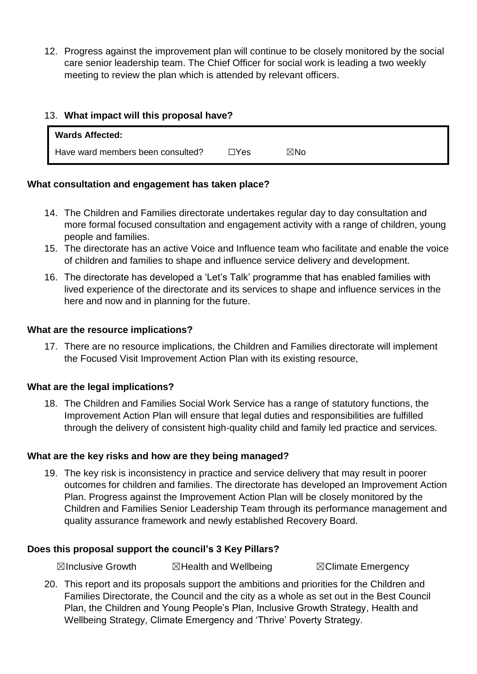12. Progress against the improvement plan will continue to be closely monitored by the social care senior leadership team. The Chief Officer for social work is leading a two weekly meeting to review the plan which is attended by relevant officers.

# 13. **What impact will this proposal have?**

| <b>Wards Affected:</b>            |      |     |
|-----------------------------------|------|-----|
| Have ward members been consulted? | ⊐Yes | ⊠No |

# **What consultation and engagement has taken place?**

- 14. The Children and Families directorate undertakes regular day to day consultation and more formal focused consultation and engagement activity with a range of children, young people and families.
- 15. The directorate has an active Voice and Influence team who facilitate and enable the voice of children and families to shape and influence service delivery and development.
- 16. The directorate has developed a 'Let's Talk' programme that has enabled families with lived experience of the directorate and its services to shape and influence services in the here and now and in planning for the future.

# **What are the resource implications?**

17. There are no resource implications, the Children and Families directorate will implement the Focused Visit Improvement Action Plan with its existing resource,

# **What are the legal implications?**

18. The Children and Families Social Work Service has a range of statutory functions, the Improvement Action Plan will ensure that legal duties and responsibilities are fulfilled through the delivery of consistent high-quality child and family led practice and services.

#### **What are the key risks and how are they being managed?**

19. The key risk is inconsistency in practice and service delivery that may result in poorer outcomes for children and families. The directorate has developed an Improvement Action Plan. Progress against the Improvement Action Plan will be closely monitored by the Children and Families Senior Leadership Team through its performance management and quality assurance framework and newly established Recovery Board.

#### **Does this proposal support the council's 3 Key Pillars?**

**⊠Inclusive Growth ■ ⊠Health and Wellbeing ■ ■ ⊠Climate Emergency** 

20. This report and its proposals support the ambitions and priorities for the Children and Families Directorate, the Council and the city as a whole as set out in the Best Council Plan, the Children and Young People's Plan, Inclusive Growth Strategy, Health and Wellbeing Strategy, Climate Emergency and 'Thrive' Poverty Strategy.